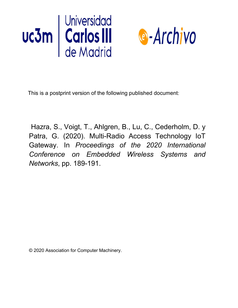



This is a postprint version of the following published document:

Hazra, S., Voigt, T., Ahlgren, B., Lu, C., Cederholm, D. y Patra, G. (2020). Multi-Radio Access Technology IoT Gateway. In *Proceedings of the 2020 International Conference on Embedded Wireless Systems and Networks*, pp. 189-191.

© 2020 Association for Computer Machinery.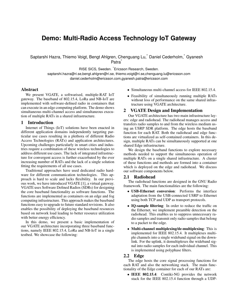# **Demo: Multi-Radio Access Technology IoT Gateway**

Saptarshi Hazra, Thiemo Voigt, Bengt Ahlgren, Chenguang Lu,\* Daniel Cederholm,\* Gyanesh Patra<sup>\*</sup>

RISE SICS, Sweden. \*Ericsson Research, Sweden.

saptarshi.hazra@ri.se,bengt.ahlgren@ri.se, thiemo.voigt@ri.se,chenguang.lu@ericsson.com daniel.cederholm@ericsson.com,gyanesh.patra@ericsson.com

# Abstract

We present VGATE, a softwarised, multiple-RAT IoT gateway. The baseband of 802.15.4, LoRa and NB-IoT are implemented with software-defined radio in containers that can execute in an edge computing platform. The demo shows simultaneous multi-channel access and simultaneous execution of multiple RATs in a shared infrastructure.

#### 1 Introduction

Internet of Things (IoT) solutions have been enacted in different application domains independently targeting particular use cases resulting in a plethora of different Radio Access Technologies (RATs) and application architectures. Upcoming challenges particularly in smart cities and industries require a combination of these wireless technologies to address different use cases. The lack of integrated infrastructure for convergent access is further exacerbated by the ever increasing number of RATs and the lack of a single solution fitting the requirements of all use cases.

Traditional approaches have used dedicated radio hardware for different communication technologies. This approach is hard to scale and lacks flexibility. In our previous work, we have introduced VGATE [1], a virtual gateway. VGATE uses Software Defined Radios (SDRs) for designing the core baseband functionality as software functions. The functions are implemented as containers on an edge and fog computing infrastructure. This approach makes the baseband functions easy to upgrade to future standard revisions. It also enables the possibility of deploying the baseband resources based on network load leading to better resource utilization with better energy efficiency.

In this demo, we present a basic implementation of our VGATE architecture incorporating three baseband functions, namely IEEE 802.15.4, LoRa and NB-IoT in a single testbed. We showcase the following:

- Simultaneous multi-channel access for IEEE 802.15.4.
- Feasibility of simultaneously running multiple RATs without loss of performance on the same shared infrastructure using VGATE architecture.

# 2 VGATE Design and Implementation

Our VGATE architecture has two main infrastructure layers: edge and radiohead. The radiohead manages access and transfers radio samples to and from the wireless medium using an USRP SDR platform. The edge hosts the baseband function for each RAT. Both the radiohead and edge functions are virtualized as self-contained containers. In this design, multiple RATs can be simultaneously supported at one shared Edge infrastructure.

We design the baseband functions to explore necessary methods needed to support the simultaneous operation of multiple RATs on a single shared infrastructure. A cluster of these functions and methods are formed into a container which is deployed on the edge and radiohead. We discuss our software components below.

# 2.1 Radiohead

The radiohead functions are designed in the GNU Radio framework. The main functionalities are the following:

- USB-Ethernet conversion: Performs the interface adaptation from the USB-connected USRP to Ethernet using both TCP and UDP as transport protocols.
- IQ-sample filtering: In order to reduce the traffic on the Ethernet, we implement preamble detection on the radiohead. This enables us to suppress unnecessary radio samples and transmit only radio samples that belong to a packet to the edge.
- Multi-channel multiplexing/de-multiplexing: This is implemented for IEEE 802.15.4. It multiplexes multiple channels into a single wideband signal on the downlink. For the uplink, it demultiplexes the wideband signal into radio samples for each individual channel. This is implemented using polyphase filters.

#### 2.2 Edge

The edge hosts the core signal processing functions for each RAT and also the networking stack. The main functionality of the Edge container for each of our RATs are:

• IEEE 802.15.4: Contiki-NG provides the network stack for the IEEE 802.15.4 function through a UDP-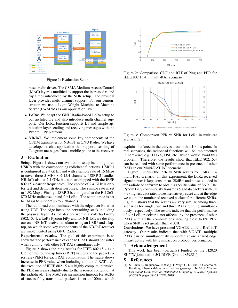

Figure 1: Evaluation Setup

based radio driver. The CSMA Medium Access Control (MAC) layer is modified to support the increased round trip times introduced by the SDR setup. The physical layer provides multi channel support. For our demonstration we use a Light Weight Machine to Machine Server (LWM2M) as our application layer.

- LoRa: We adapt the GNU Radio-based LoRa setup to our architecture and also introduce multi channel support. Our LoRa function supports L1 and simple application layer sending and receiving messages with the Pycom FiPy platform.
- **NB-IoT**: We implement some key components of the OFDM transmitter for NB-IoT in GNU Radio. We have developed a chat application that supports sending of Telegram messages from a mobile phone to the receiver.

# 3 Evaluation

Setup. Figure 1 shows our evaluation setup including three USRPs with the corresponding radiohead functions. USRP 1 is configured at 2.4 GHz band with a sample rate of 15 Msps to cover three 5 MHz 802.15.4 channels. USRP 2 handles NB-IoT; also at 2.4 GHz but non-overlapped with the IEEE 802.15.4 carrier frequencies. The choice of 2.4 GHz is only for test and demonstration purposes. The sample rate is set to 1.92 Msps. Finally, USRP 3 is configured at the EU 863- 870 MHz unlicensed band for LoRa. The sample rate is set to 1Msps to support up to 2 channels.

The radiohead communicates with the edge over Ethernet using UDP. The edge hosts the networking stack including the physical layer. As IoT devices we use a Zolertia Firefly (802.15.4), a LoRa Pycom FiPy and for NB-IoT, we develop our own NB-IoT receiver emulator using an USRP and a laptop, on which some key components of the NB-IoT receiver are implemented using GNU Radio.

Experimental results. The goal of this experiment is to show that the performance of each IoT RAT should not suffer when running with other IoT RATs simultaneously.

Figure 2 shows the ping results for IEEE 802.15.4 as a CDF of the round-trip times (RTT) values and the packet error rate (PER) for each RAT combination. The figure shows increase in PER value when including additional RATs. As the execution of IEEE 802.15.4 is highly compute intensive, the PER increases slightly due to the resource contention at the radiohead. The MAC retransmission timeout for ACKs of successfully transmitted packets is set to 100ms, which



Figure 2: Comparison CDF and RTT of Ping and PER for IEEE 802.15.4 in multi-RAT scenario

Multi-RAT PER vs SNR



Figure 3: Comparison PER vs SNR for LoRa in multi-rat scenario,  $SF = 7$ 

explains the knee in the curves around that 100ms point. In real scenarios, the radiohead functions will be implemented in hardware, e.g. FPGA, DSP etc. which would avoid this problem. Therefore, the results show that IEEE 802.15.4 can be realized with same performance in presence of other RATs in our Multi-RAT IoT scenario.

Figure 3 shows the PER vs SNR results for LoRa in a multi-RAT scenario. In this experiment, the LoRa received signal power is kept constant at -28dBm and noise is added in the radiohead software to obtain a specific value of SNR. The Pycom FiPy continuously transmits 500 data packets with SF  $= 7$  (highest data rate, lowest sensitivity case) and at the edge we count the number of received packets for different SNRs. Figure 3 shows that the results are very similar among three scenarios for single, two and three RATs running simultaneously, respectively. The results indicate that the performance of our LoRa receiver is not affected by the presence of other RATs with all the combinations showing close to 0% PER when SNR is set greater than -10dB.

Conclusions. We have presented VGATE, a multi-RAT IoT gateway. Our results indicate that with VGATE, multiple RATs can be simultaneously supported at one shared edge infrastructure with little impact on protocol performance.

### 4 Acknowledgement

This work has been (partially) funded by the H2020 EU/TW joint action 5G-DIVE (Grant #859881)

#### **References**

[1] S. Hazra, S. Duquennoy, P. Wang, T. Voigt, C. Lu, and D. Cederholm. Handling inherent delays in virtual iot gateways. In *2019 15th International Conference on Distributed Computing in Sensor Systems (DCOSS)*, pages 58–65. IEEE, 2019.